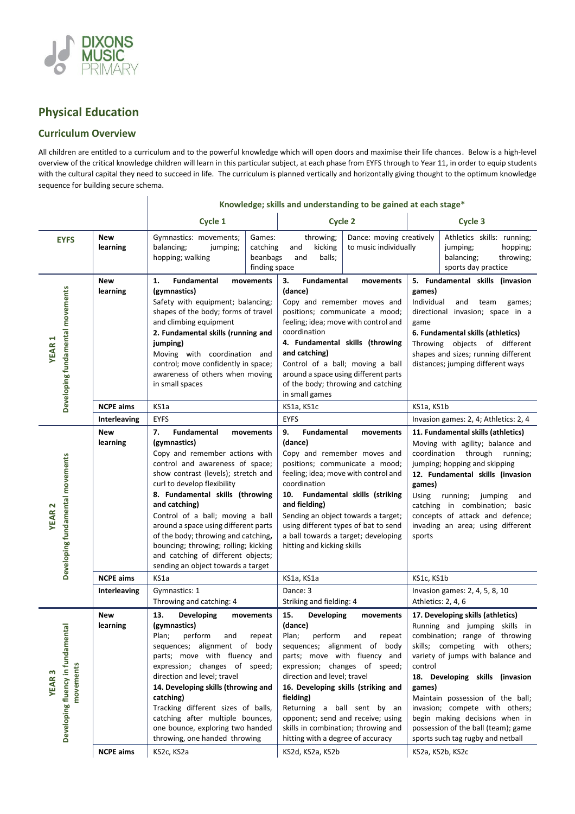

## **Physical Education**

## **Curriculum Overview**

All children are entitled to a curriculum and to the powerful knowledge which will open doors and maximise their life chances. Below is a high-level overview of the critical knowledge children will learn in this particular subject, at each phase from EYFS through to Year 11, in order to equip students with the cultural capital they need to succeed in life. The curriculum is planned vertically and horizontally giving thought to the optimum knowledge sequence for building secure schema.

|                                                                    |                        |                                                                                                                                                                                                                                                                                                                                                                                                                                                                                             | Knowledge; skills and understanding to be gained at each stage*                                                                                                                                                                                                                                                                                                                                                           |                                                                                                                                                                                                                                                                                                                                                                                                                         |  |
|--------------------------------------------------------------------|------------------------|---------------------------------------------------------------------------------------------------------------------------------------------------------------------------------------------------------------------------------------------------------------------------------------------------------------------------------------------------------------------------------------------------------------------------------------------------------------------------------------------|---------------------------------------------------------------------------------------------------------------------------------------------------------------------------------------------------------------------------------------------------------------------------------------------------------------------------------------------------------------------------------------------------------------------------|-------------------------------------------------------------------------------------------------------------------------------------------------------------------------------------------------------------------------------------------------------------------------------------------------------------------------------------------------------------------------------------------------------------------------|--|
|                                                                    |                        | Cycle 1                                                                                                                                                                                                                                                                                                                                                                                                                                                                                     | Cycle 2                                                                                                                                                                                                                                                                                                                                                                                                                   | Cycle 3                                                                                                                                                                                                                                                                                                                                                                                                                 |  |
| <b>EYFS</b>                                                        | <b>New</b><br>learning | Games:<br>Gymnastics: movements;<br>balancing;<br>catching<br>jumping;<br>hopping; walking<br>beanbags<br>finding space                                                                                                                                                                                                                                                                                                                                                                     | throwing;<br>Dance: moving creatively<br>to music individually<br>kicking<br>and<br>balls;<br>and                                                                                                                                                                                                                                                                                                                         | Athletics skills: running;<br>hopping;<br>jumping;<br>balancing;<br>throwing;<br>sports day practice                                                                                                                                                                                                                                                                                                                    |  |
| Developing fundamental movements<br><b>YEAR1</b>                   | <b>New</b><br>learning | Fundamental<br>1.<br>movements<br>(gymnastics)<br>Safety with equipment; balancing;<br>shapes of the body; forms of travel<br>and climbing equipment<br>2. Fundamental skills (running and<br>jumping)<br>Moving with coordination and<br>control; move confidently in space;<br>awareness of others when moving<br>in small spaces                                                                                                                                                         | Fundamental<br>3.<br>movements<br>(dance)<br>Copy and remember moves and<br>positions; communicate a mood;<br>feeling; idea; move with control and<br>coordination<br>4. Fundamental skills (throwing<br>and catching)<br>Control of a ball; moving a ball<br>around a space using different parts<br>of the body; throwing and catching<br>in small games                                                                | 5. Fundamental skills (invasion<br>games)<br>Individual<br>and<br>team<br>games;<br>directional invasion; space in a<br>game<br>6. Fundamental skills (athletics)<br>Throwing objects of different<br>shapes and sizes; running different<br>distances; jumping different ways                                                                                                                                          |  |
|                                                                    | <b>NCPE aims</b>       | KS1a                                                                                                                                                                                                                                                                                                                                                                                                                                                                                        | KS1a, KS1c                                                                                                                                                                                                                                                                                                                                                                                                                | KS1a, KS1b                                                                                                                                                                                                                                                                                                                                                                                                              |  |
|                                                                    | Interleaving           | <b>EYFS</b>                                                                                                                                                                                                                                                                                                                                                                                                                                                                                 | <b>EYFS</b>                                                                                                                                                                                                                                                                                                                                                                                                               | Invasion games: 2, 4; Athletics: 2, 4                                                                                                                                                                                                                                                                                                                                                                                   |  |
| Developing fundamental movements<br><b>YEAR2</b>                   | New<br>learning        | 7.<br><b>Fundamental</b><br>movements<br>(gymnastics)<br>Copy and remember actions with<br>control and awareness of space;<br>show contrast (levels); stretch and<br>curl to develop flexibility<br>8. Fundamental skills (throwing<br>and catching)<br>Control of a ball; moving a ball<br>around a space using different parts<br>of the body; throwing and catching,<br>bouncing; throwing; rolling; kicking<br>and catching of different objects;<br>sending an object towards a target | 9.<br>Fundamental<br>movements<br>(dance)<br>Copy and remember moves and<br>positions; communicate a mood;<br>feeling; idea; move with control and<br>coordination<br>10. Fundamental skills (striking<br>and fielding)<br>Sending an object towards a target;<br>using different types of bat to send<br>a ball towards a target; developing<br>hitting and kicking skills                                               | 11. Fundamental skills (athletics)<br>Moving with agility; balance and<br>coordination through<br>running;<br>jumping; hopping and skipping<br>12. Fundamental skills (invasion<br>games)<br><b>Using</b><br>running;<br>jumping<br>and<br>catching in combination; basic<br>concepts of attack and defence;<br>invading an area; using different<br>sports                                                             |  |
|                                                                    | <b>NCPE aims</b>       | KS1a                                                                                                                                                                                                                                                                                                                                                                                                                                                                                        | KS1a, KS1a                                                                                                                                                                                                                                                                                                                                                                                                                | KS1c, KS1b                                                                                                                                                                                                                                                                                                                                                                                                              |  |
|                                                                    | Interleaving           | Gymnastics: 1<br>Throwing and catching: 4                                                                                                                                                                                                                                                                                                                                                                                                                                                   | Dance: 3<br>Striking and fielding: 4                                                                                                                                                                                                                                                                                                                                                                                      | Invasion games: 2, 4, 5, 8, 10<br>Athletics: 2, 4, 6                                                                                                                                                                                                                                                                                                                                                                    |  |
| Developing fluency in fundamenta<br>movements<br>S<br><b>YEAR3</b> | <b>New</b><br>learning | 13.<br><b>Developing</b><br>movements<br>(gymnastics)<br>perform<br>Plan;<br>and<br>repeat<br>sequences; alignment of body<br>parts; move with fluency and<br>expression; changes of speed;<br>direction and level; travel<br>14. Developing skills (throwing and<br>catching)<br>Tracking different sizes of balls,<br>catching after multiple bounces,<br>one bounce, exploring two handed<br>throwing, one handed throwing                                                               | 15.<br><b>Developing</b><br>movements<br>(dance)<br>Plan;<br>perform<br>repeat<br>and<br>sequences; alignment of body<br>parts; move with fluency and<br>expression; changes of speed;<br>direction and level; travel<br>16. Developing skills (striking and<br>fielding)<br>Returning a ball sent by an<br>opponent; send and receive; using<br>skills in combination; throwing and<br>hitting with a degree of accuracy | 17. Developing skills (athletics)<br>Running and jumping skills in<br>combination; range of throwing<br>skills; competing with others;<br>variety of jumps with balance and<br>control<br>18. Developing skills (invasion<br>games)<br>Maintain possession of the ball;<br>invasion; compete with others;<br>begin making decisions when in<br>possession of the ball (team); game<br>sports such tag rugby and netball |  |
|                                                                    | <b>NCPE aims</b>       | KS2c, KS2a                                                                                                                                                                                                                                                                                                                                                                                                                                                                                  | KS2d, KS2a, KS2b                                                                                                                                                                                                                                                                                                                                                                                                          | KS2a, KS2b, KS2c                                                                                                                                                                                                                                                                                                                                                                                                        |  |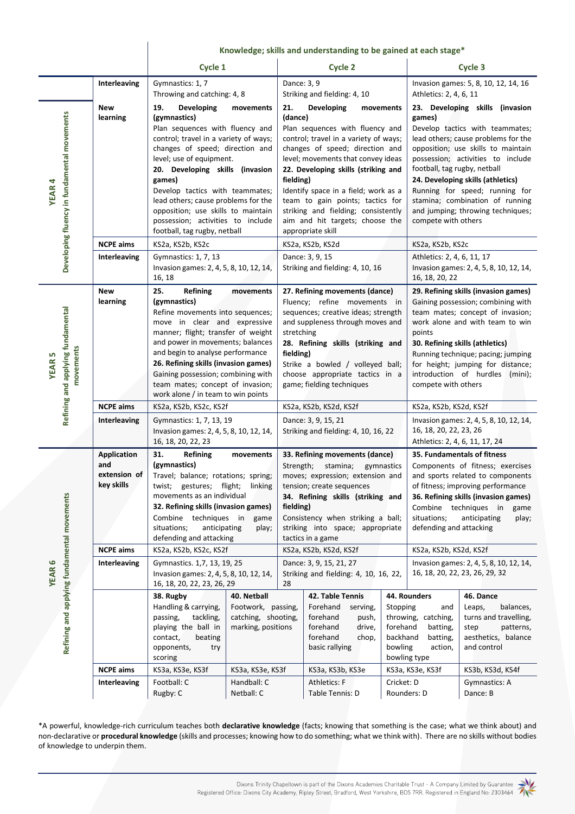|                                                                |                                                         | Knowledge; skills and understanding to be gained at each stage*                                                                                                                                                                                                                                                                                                                                                             |                                                                                                    |                                                                                                                                                                                                                                                                                                                                                                                                                               |                                                                                                                                                |                                                                                                                                                                                                                                                                                                                                     |                                                                                                                                                                                                                                                                                                                                                                                                      |                                                                                                                                          |  |
|----------------------------------------------------------------|---------------------------------------------------------|-----------------------------------------------------------------------------------------------------------------------------------------------------------------------------------------------------------------------------------------------------------------------------------------------------------------------------------------------------------------------------------------------------------------------------|----------------------------------------------------------------------------------------------------|-------------------------------------------------------------------------------------------------------------------------------------------------------------------------------------------------------------------------------------------------------------------------------------------------------------------------------------------------------------------------------------------------------------------------------|------------------------------------------------------------------------------------------------------------------------------------------------|-------------------------------------------------------------------------------------------------------------------------------------------------------------------------------------------------------------------------------------------------------------------------------------------------------------------------------------|------------------------------------------------------------------------------------------------------------------------------------------------------------------------------------------------------------------------------------------------------------------------------------------------------------------------------------------------------------------------------------------------------|------------------------------------------------------------------------------------------------------------------------------------------|--|
|                                                                |                                                         |                                                                                                                                                                                                                                                                                                                                                                                                                             | Cycle 1                                                                                            |                                                                                                                                                                                                                                                                                                                                                                                                                               | <b>Cycle 2</b>                                                                                                                                 |                                                                                                                                                                                                                                                                                                                                     | Cycle 3                                                                                                                                                                                                                                                                                                                                                                                              |                                                                                                                                          |  |
|                                                                | Interleaving                                            | Gymnastics: 1, 7<br>Throwing and catching: 4, 8                                                                                                                                                                                                                                                                                                                                                                             |                                                                                                    | Dance: 3, 9                                                                                                                                                                                                                                                                                                                                                                                                                   | Striking and fielding: 4, 10                                                                                                                   |                                                                                                                                                                                                                                                                                                                                     | Invasion games: 5, 8, 10, 12, 14, 16<br>Athletics: 2, 4, 6, 11                                                                                                                                                                                                                                                                                                                                       |                                                                                                                                          |  |
| Developing fluency in fundamental movements<br><b>YEAR4</b>    | New<br>learning                                         | 19.<br>Developing<br>movements<br>(gymnastics)<br>Plan sequences with fluency and<br>control; travel in a variety of ways;<br>changes of speed; direction and<br>level; use of equipment.<br>20. Developing skills (invasion<br>games)<br>Develop tactics with teammates;<br>lead others; cause problems for the<br>opposition; use skills to maintain<br>possession; activities to include<br>football, tag rugby, netball |                                                                                                    | 21.<br>Developing<br>movements<br>(dance)<br>Plan sequences with fluency and<br>control; travel in a variety of ways;<br>changes of speed; direction and<br>level; movements that convey ideas<br>22. Developing skills (striking and<br>fielding)<br>Identify space in a field; work as a<br>team to gain points; tactics for<br>striking and fielding; consistently<br>aim and hit targets; choose the<br>appropriate skill |                                                                                                                                                |                                                                                                                                                                                                                                                                                                                                     | 23. Developing skills (invasion<br>games)<br>Develop tactics with teammates;<br>lead others; cause problems for the<br>opposition; use skills to maintain<br>possession; activities to include<br>football, tag rugby, netball<br>24. Developing skills (athletics)<br>Running for speed; running for<br>stamina; combination of running<br>and jumping; throwing techniques;<br>compete with others |                                                                                                                                          |  |
|                                                                | <b>NCPE aims</b>                                        | KS2a, KS2b, KS2c                                                                                                                                                                                                                                                                                                                                                                                                            | KS2a, KS2b, KS2d                                                                                   |                                                                                                                                                                                                                                                                                                                                                                                                                               |                                                                                                                                                | KS2a, KS2b, KS2c                                                                                                                                                                                                                                                                                                                    |                                                                                                                                                                                                                                                                                                                                                                                                      |                                                                                                                                          |  |
|                                                                | Interleaving                                            | Gymnastics: 1, 7, 13<br>Invasion games: 2, 4, 5, 8, 10, 12, 14,<br>16, 18                                                                                                                                                                                                                                                                                                                                                   | Dance: 3, 9, 15<br>Striking and fielding: 4, 10, 16                                                |                                                                                                                                                                                                                                                                                                                                                                                                                               |                                                                                                                                                | Athletics: 2, 4, 6, 11, 17<br>Invasion games: 2, 4, 5, 8, 10, 12, 14,<br>16, 18, 20, 22                                                                                                                                                                                                                                             |                                                                                                                                                                                                                                                                                                                                                                                                      |                                                                                                                                          |  |
| Refining and applying fundamental<br>movements<br><b>YEAR5</b> | <b>New</b><br>learning                                  | 25.<br><b>Refining</b><br>movements<br>(gymnastics)<br>Refine movements into sequences;<br>move in clear and expressive<br>manner; flight; transfer of weight<br>and power in movements; balances<br>and begin to analyse performance<br>26. Refining skills (invasion games)<br>Gaining possession; combining with<br>team mates; concept of invasion;<br>work alone / in team to win points                               |                                                                                                    | 27. Refining movements (dance)<br>Fluency; refine movements in<br>sequences; creative ideas; strength<br>and suppleness through moves and<br>stretching<br>28. Refining skills (striking and<br>fielding)<br>Strike a bowled / volleyed ball;<br>choose appropriate tactics in a<br>game; fielding techniques                                                                                                                 |                                                                                                                                                | 29. Refining skills (invasion games)<br>Gaining possession; combining with<br>team mates; concept of invasion;<br>work alone and with team to win<br>points<br>30. Refining skills (athletics)<br>Running technique; pacing; jumping<br>for height; jumping for distance;<br>introduction of hurdles (mini);<br>compete with others |                                                                                                                                                                                                                                                                                                                                                                                                      |                                                                                                                                          |  |
|                                                                | <b>NCPE aims</b>                                        |                                                                                                                                                                                                                                                                                                                                                                                                                             | KS2a, KS2b, KS2c, KS2f                                                                             |                                                                                                                                                                                                                                                                                                                                                                                                                               | KS2a, KS2b, KS2d, KS2f                                                                                                                         |                                                                                                                                                                                                                                                                                                                                     | KS2a, KS2b, KS2d, KS2f                                                                                                                                                                                                                                                                                                                                                                               |                                                                                                                                          |  |
|                                                                | Interleaving                                            | Gymnastics: 1, 7, 13, 19<br>Invasion games: 2, 4, 5, 8, 10, 12, 14,<br>16, 18, 20, 22, 23                                                                                                                                                                                                                                                                                                                                   |                                                                                                    | Dance: 3, 9, 15, 21<br>Striking and fielding: 4, 10, 16, 22                                                                                                                                                                                                                                                                                                                                                                   |                                                                                                                                                | Invasion games: 2, 4, 5, 8, 10, 12, 14,<br>16, 18, 20, 22, 23, 26<br>Athletics: 2, 4, 6, 11, 17, 24                                                                                                                                                                                                                                 |                                                                                                                                                                                                                                                                                                                                                                                                      |                                                                                                                                          |  |
|                                                                | <b>Application</b><br>and<br>extension of<br>key skills | 31.<br>Refining<br>movements<br>(gymnastics)<br>Travel; balance; rotations; spring;<br>gestures; flight;<br>twist;<br>linking<br>movements as an individual<br>32. Refining skills (invasion games)<br>Combine techniques in<br>game<br>situations;<br>anticipating<br>play;<br>defending and attacking                                                                                                                     |                                                                                                    | 33. Refining movements (dance)<br>Strength;<br>stamina;<br>gymnastics<br>moves; expression; extension and<br>tension; create sequences<br>34. Refining skills (striking and<br>fielding)<br>Consistency when striking a ball;<br>striking into space; appropriate<br>tactics in a game                                                                                                                                        |                                                                                                                                                | 35. Fundamentals of fitness<br>Components of fitness; exercises<br>and sports related to components<br>of fitness; improving performance<br>36. Refining skills (invasion games)<br>Combine techniques in<br>game<br>situations;<br>anticipating<br>play;<br>defending and attacking                                                |                                                                                                                                                                                                                                                                                                                                                                                                      |                                                                                                                                          |  |
|                                                                | <b>NCPE aims</b>                                        | KS2a, KS2b, KS2c, KS2f                                                                                                                                                                                                                                                                                                                                                                                                      |                                                                                                    | KS2a, KS2b, KS2d, KS2f                                                                                                                                                                                                                                                                                                                                                                                                        |                                                                                                                                                | KS2a, KS2b, KS2d, KS2f                                                                                                                                                                                                                                                                                                              |                                                                                                                                                                                                                                                                                                                                                                                                      |                                                                                                                                          |  |
| Refining and applying fundamental movements<br><b>YEAR6</b>    | Interleaving                                            | Gymnastics. 1,7, 13, 19, 25<br>Invasion games: 2, 4, 5, 8, 10, 12, 14,<br>16, 18, 20, 22, 23, 26, 29                                                                                                                                                                                                                                                                                                                        |                                                                                                    | Dance: 3, 9, 15, 21, 27<br>Striking and fielding: 4, 10, 16, 22,<br>28                                                                                                                                                                                                                                                                                                                                                        |                                                                                                                                                |                                                                                                                                                                                                                                                                                                                                     | Invasion games: 2, 4, 5, 8, 10, 12, 14,<br>16, 18, 20, 22, 23, 26, 29, 32                                                                                                                                                                                                                                                                                                                            |                                                                                                                                          |  |
|                                                                | <b>NCPE aims</b>                                        | 38. Rugby<br>Handling & carrying,<br>tackling,<br>passing,<br>playing the ball in<br>contact,<br>beating<br>opponents,<br>try<br>scoring<br>KS3a, KS3e, KS3f                                                                                                                                                                                                                                                                | 40. Netball<br>Footwork, passing,<br>catching, shooting,<br>marking, positions<br>KS3a, KS3e, KS3f |                                                                                                                                                                                                                                                                                                                                                                                                                               | 42. Table Tennis<br>Forehand<br>serving,<br>forehand<br>push,<br>forehand<br>drive,<br>forehand<br>chop,<br>basic rallying<br>KS3a, KS3b, KS3e | Stopping<br>forehand<br>backhand<br>bowling                                                                                                                                                                                                                                                                                         | 44. Rounders<br>and<br>throwing, catching,<br>batting,<br>batting,<br>action,<br>bowling type<br>KS3a, KS3e, KS3f                                                                                                                                                                                                                                                                                    | 46. Dance<br>Leaps,<br>balances,<br>turns and travelling,<br>step<br>patterns,<br>aesthetics, balance<br>and control<br>KS3b, KS3d, KS4f |  |
|                                                                | Interleaving                                            | Football: C                                                                                                                                                                                                                                                                                                                                                                                                                 | Handball: C                                                                                        |                                                                                                                                                                                                                                                                                                                                                                                                                               | <b>Athletics: F</b>                                                                                                                            | Cricket: D                                                                                                                                                                                                                                                                                                                          |                                                                                                                                                                                                                                                                                                                                                                                                      | Gymnastics: A                                                                                                                            |  |
|                                                                |                                                         | Rugby: C                                                                                                                                                                                                                                                                                                                                                                                                                    | Netball: C                                                                                         |                                                                                                                                                                                                                                                                                                                                                                                                                               | Table Tennis: D                                                                                                                                |                                                                                                                                                                                                                                                                                                                                     | Rounders: D                                                                                                                                                                                                                                                                                                                                                                                          | Dance: B                                                                                                                                 |  |

\*A powerful, knowledge-rich curriculum teaches both **declarative knowledge** (facts; knowing that something is the case; what we think about) and non-declarative or **procedural knowledge** (skills and processes; knowing how to do something; what we think with). There are no skills without bodies of knowledge to underpin them.